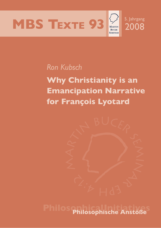



# *Ron Kubsch*

**Why Christianity is an Emancipation Narrative for François Lyotard**



**Philosophical Initiatives Philosophische Anstöße**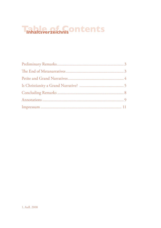# **Transitsverzeichnis Ontents**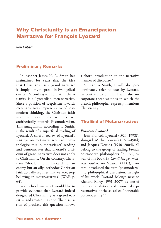# **Why Christianity is an Emancipation Narrative for François Lyotard**

*Ron Kubsch*

# **Preliminary Remarks**

Philosopher James K. A. Smith has maintained for years that the idea that Christianity is a grand narrative is simply a myth spread in Evangelical circles.1 According to the myth, Christianity is a Lyotardian metanarrative. Since a position of scepticism towards metanarratives is representative of postmodern thinking, the Christian faith would correspondingly have to behave antithetically towards Postmodernism. This antagonism, according to Smith, is the result of a superficial reading of Lyotard. A careful review of Lyotard's writings on metanarratives can demythologise this 'bumpersticker' reading and demonstrates that Lyotard's criticism of grand narratives does not apply to Christianity. On the contrary, Christians "should find in Lyotard not an enemy but an ally; orthodox Christian faith actually requires that we, too, stop believing in metanarratives" (WAP, p. 64).

In this brief analysis I would like to provide evidence that Lyotard indeed designated Christianity as a grand narrative and treated it as one. The discussion of precisely this question follows a short introduction to the narrative manner of discourse.<sup>2</sup>

Similar to Smith, I will also predominately refer to texts by Lyotard. In contrast to Smith, I will also incorporate those writings in which the French philosopher expressly mentions Christianity.3

# **The End of Metanarratives**

#### *François Lyotard*

Jean François Lyotard (1924–1998)<sup>4</sup>, alongside Michel Foucault (1926–1984) and Jacques Derrida (1930–2004), all belong to the group of leading French postmodern philosophers. In 1979, by way of his book *La Condition postmoderne: rapport sur le savoir* (TPC), Lyotard introduced the term "postmodern" into philosophical discussion. In light of his work, Lyotard belongs next to Richard Rorty (1931–2007) as one of the most analytical and renowned representatives of the so-called "honorable postmodernity."5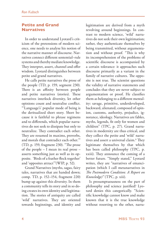# **Petite and Grand Narratives**

In order to understand Lyotard's criticism of the pretensions of modern science, one needs to analyse his notion of the narrative manner of discourse. Narratives connect different sentential–rule systems and thereby mediate knowledge. They interpret, assert, channel and offer wisdom. Lyotard distinguishes between petite and grand narratives.

He calls petite narratives the prose of the people (TD, p. 159, segment 230). There is an affinity between people and petite narratives (stories). These narratives interlock diversity, let other opinions count and neutralise conflict. "'Language's' popular mode of being is the deritualized short story. Short because it is faithful to phrase regimens and to differends, which popular narratives do not seek to dissipate but only to neutralize. They contradict each other. They are resumed in maxims, proverbs, and morals that contradict each other.'" (TD, p. 159, fragment 230). "The prose of the people – I mean its real prose – asserts something just as well as its opposite. 'Birds of a feather flock together' and 'opposites attract'"(WIP, p. 52).

Grand Narratives (myths, sagas, fairy tales, narratives that are handed down; comp. TD, p. 152–154, fragment 220) bump up against this diversity. In them a community tells its story and in so doing creates its own identity and legitimation. The stories of antiquity are called 'wild' narratives. They are oriented towards beginnings, and identity and legitimation are derived from a myth revolving around beginnings. In contrast to modern science, 'wild' narratives do not seek their own legitimation; rather, they authenticate themselves by being transmitted, without argumentation and without proof. "This is why its incomprehension of the problems of scientific discourse is accompanied by a certain tolerance: it approaches such discourse primarily as a variant in the family of narrative cultures. The opposite is not true. The scientist questions the validity of narrative statements and concludes that they are never subject to argumentation or proof. He classifies them as belonging to a different mentality: savage, primitive, underdeveloped, backward, alienated, composed of opinion, customs, authority, prejudice, ignorance, ideology. Narratives are fables, myths, legends, fit only for women and children" (TPC, p. 27). Grand narratives in modernity are thus critical, and they collect the petite and 'wild' narratives and assert a universal claim.6 They legitimate themselves by that which has been called philosophy (TPC, p. xxiii). They announce the coming of a better future. "Simply stated," Lyotard writes, they are "narratives of emancipation (which I call metanarratives in *The Postmodern Condition: A Report on Knowledge)"* (TPC, p. xiii).

Is presumptuousness on the part of philosophy and science justified? Lyotard denies this categorically. "Scientific knowledge cannot know and make known that it is the true knowledge without resorting to the other, narra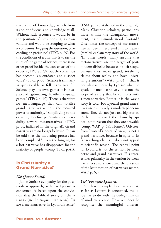tive, kind of knowledge, which from its point of view is no knowledge at all. Without such recourse it would be in the position of presupposing its own validity and would be stooping to what it condemns: begging the question, proceeding on prejudice" (TPC, p. 29). For the conditions of truth, that is to say the rules of the game of science, there is no other proof beside the consensus of the experts (TPC, p. 29). But the consensus has become "an outdated and suspect value" (TPC, p. 66). Science is similarly as questionable as folk narratives. "... Science plays its own game; it is incapable of legitimating the other language games" (TPC, p. 40). There is therefore no meta-language that can totalise grand narratives without the required power of authority. "Simplifying to the extreme, I define *postmodern* as incredulity toward metanarratives" (TPC, p. 14, italicised in the original). Grand narratives are no longer believed. It can be said that the mourning process has been completed.7 Even the longing for a lost narrative has disappeared for the majority of people. (comp. TPC, p. 41).

# **Is Christianity a Grand Narrative?**

### *No! (James Smith)*

James Smith's sympathy for the postmodern approach, as far as Lyotard is concerned, is based upon the conviction that the biblical story, or Christianity (in the Augustinian sense), "is *not* a metanarrative in Lyotard's sense" (LSM, p. 125, italicised in the original). Many Christian scholars, particularly those within the Evangelical movement, have misunderstood Lyotard.<sup>8</sup> Oftentimes the concept of metanarrative has been interpreted as if to mean a (totally) explanatory story of the world. "In other words, many assume that metanarratives are the target of postmodern disbelief because of their scope, because they make grand, totalizing claims about reality and have universal pretensions" (WAP, p. 64). That is not what is meant by Lyotard when he speaks of metanarratives. It is not the scope of a story that he connects with a metanarrative. Rather it is the way a story is told. For Lyotard grand narratives are exclusively a modern phenomenon. They do not just tell big stories. Rather, they assert the claim by appealing to reason that they are provable (comp. WAP, p. 65). Homer's Odyssee, from Lyotard's point of view, is not a grand narrative, because in spite of its far reaching claims it does not appeal to scientific reason. The central point for Lyotard is not the tension between petite and grand narratives. His interest lies primarily in the tension between narratives and science and the question of the legitimation of narratives (comp. WAP, p. 65).

# *Yes! (François Lyotard)*

Smith sees completely correctly that, as far as Lyotard is concerned, the issue has to do with the de-legitimation of modern science. However, does he recognise the meaningful differen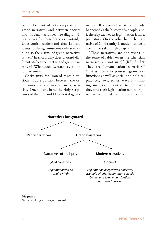tiation for Lyotard between petite and grand narratives and between ancient and modern narratives (see diagram 1: Narratives for Jean François Lyotard)? Does Smith understand that Lyotard wants to de-legitimise not only science but also the claims of grand narratives as well? In short, why does Lyotard differentiate between petite and grand narratives? What does Lyotard say about Christianity?

Christianity for Lyotard takes a curious middle position between the origins-oriented and modern metanarrative.9 One the one hand the Holy Scriptures of the Old and New TestaFigurements tell a story of what has already happened as the history of a people, and it thereby derives its legitimation from a prehistory. On the other hand the narrative of Christianity is modern, since it acts universal and teleological.

"These narratives are not myths in the sense of fables (even the Christian narratives are not such)" (RE, S. 49). They are "emancipation narratives." "Just as these they possess legitimation functions as well as social and political practices, laws, ethics, ways of thinking, imagery. In contrast to the myths they find their legitimation not in original, well-founded acts; rather, they find

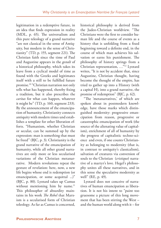legitimation in a redemptive future, in an idea that finds expression in reality (MDL, p. 65). The universalism and this pure teleology of a grand narrative "are not classical in the sense of Antiquity, but modern in the sense of Christianity" (TD, p. 155, segment 221). The Christian faith since the time of Paul and Augustine appears in the *gestalt* of a historical philosophy, which takes its leave from a cyclical model of time as found with the Greeks and legitimates itself with a still to be fulfilled future promise.10 "Christian narration not only tells what has happened, thereby fixing a tradition, but it also prescribes the *caritas* for what can happen, whatever it might be" (TD, p. 160, segment 233). By the announcement of the emancipation of humanity, Christianity connects antiquity with modern times und establishes a template for other liberation efforts. "Humanism, whether Christian or secular, can be summed up by the expression: man is something that must be freed" (BJC, p. 3). Christianity is the grand narrative of the emancipation of humanity, while all other grand narratives are only more or less secularised variations of the Christian metanarrative. Modern revolutions repeat the gesture of revelation: here, now, a new life begins whose end is redemption (or emancipation, or some acquittal ...)" (BJC, p. 80). Lyotard takes up Camus without mentioning him by name.<sup>11</sup> This philosopher of absurdity maintains in his work *The Rebel* that Marxism is a secularised form of Christian teleology. As far as Camus is concerned,

historical philosophy is derived from the Judeo-Christian worldview. "The Christians were the first to consider human life and the course of events as a history that is unfolding from a fixed beginning toward a definite end, in the course of which man achieves his salvation or earns his punishment. The philosophy of history springs from a Christian representation, …"12 Lyotard writes, "It is not by accident that, since Augustine, Christian thought, having become the thought of the empire, has tried to gather up into a History (with a capital H), into a grand narrative, the promise of redemption" (BJC, p. 62).

"The 'metanarratives,' of which are spoken about in postmodern knowledge, have those marks which distinguished modernity: progressive emancipation from reason, progressive or catastrophic emancipation of work (the source of the alienating value of capitalism), enrichment of all of humanity by the progress of capitalistic techno-science and even, if one counts Christianity as belonging to modernity (that is, in contrast to antiquity's classicalism), salvation of creatures via conversion of souls to the Christian (*cristique*) narrative of a martyr's love. Hegel's philosophy unites all these narratives, and in this sense the speculative modernity as well" (RE, p. 49).

Lyotard does not conceive of narratives of human emancipation as liberation. It is not his intent to "paint too gruesome a picture of this long movement that has been stirring the West – and the human world along with it – for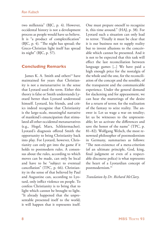two millennia" (BJC, p. 4). However, occidental history is not a development process as people would have us believe. It is "a product of complexification" (BJC, p. 4). "The night has spread; the Greco-Christian light itself has spread its night" (BJC, p. 57).

# **Concluding Remarks**

James K. A. Smith and others<sup>13</sup> have maintained for years that Christianity is not a metanarrative in the sense that Lyotard used the term. Either this theory is false or Smith understands Lyotard better than Lyotard understood himself. Lyotard, his friends, and critics indeed recognise that Christianity is the large-scale, meaningful narrative of mankind's emancipation that stimulated all other occidental metanarratives (e.g., Hegel, Marx, Schleiermacher). Lyotard's diagnosis offered Smith the opportunity to bring Christianity back into play. For Lyotard, however, Christianity can only get into the game if it holds to postmodern rules. A consensus about the rules, according to which moves can be made, can only be local and have to be "subject to eventual cancellation" (TPC, p. 66). Christianity in the sense of that believed by Paul and Augustine can, according to Lyotard, only inflict violence on people. To confess Christianity is to bring that to light which cannot be brought to light. "It already happened that the unpresentable presented itself to the world; it will happen that it represents itself.

One must prepare oneself to recognize it, this time around." (HAJ, p. 38). For Lyotard such a situation can only lead to terror. "Finally it must be clear that it is our business not to supply reality but to invent allusions to the conceivable which cannot be presented. And it is not to be expected that this task will effect the last reconciliation between language games [...] We have paid a high enough price for the nostalgia of the whole and the one, for the reconciliation of the concept and the sensible, of the transparent and the communicable experience. Under the general demand for slackening and for appeasement, we can hear the mutterings of the desire for a return of terror, for the realization of the fantasy to seize reality. The answer is: Let us wage a war on totality; let us be witnesses to the unpresentable; let us activate the differences and save the honor of the name" (TPC, p. 81–82). Wolfgang Welsch, the most renowned philosopher of postmodernism in Germany, summarises as follows: "The non-existence of a meta-criterion (of an ultimate principle, God, king, final judgment or even of a respectable discourse police) is what represents the heart of a Lyotardian concept of postmodernism.14

*Translation by Dr. Richard McClary.*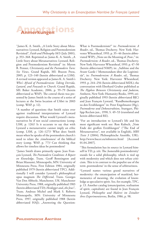

<sup>1</sup> James K. A. Smith, "A Little Story about Metanarratives: Lyotard, Religion and Postmodernism Revisited", *Faith and Philosophy* 18/3 (July 2001), p. 353-368. Reprinted as: James K. A. Smith, "A Little Story about Metanarratives: Lyotard, Religion and Postmodernism Revisited" in: Myron B. Penner, *Christianity and the Postmodern Turn: Six Views*, Grand Rapids, MI: Brazon Press, 2005, p. 123–140 (herein abbreviated as LSM). A revised version appeared as James K. A. Smith's *Who's Afraid of Postmodernism: Taking Derrida, Lyotard, and Foucault to Church*, Grand Rapids, MI: Baker Academic, 2006, p. 59–79 (herein abbreviated as WAP). The central thesis was presented by James Smith in the course of a series of lectures at the Swiss location of L'Abri in 2003 (comp. WAP, p. 12).

<sup>2</sup>A number of questions that Smith raises over against traditional interpretations of Lyotard require discussion. What would Lyotard's metanarratives be if not social constructions (comp. LSM, p. 126)? Is it accurate to say that with Lyotard a metanarrative cannot imply an ethic (comp. LSM, p. 126–127)? What does Smith mean when he speaks of the postmodern church's need to relate the ,timelessness' of the biblical story (comp. WAP, p. 77)? Can thinking that allows for timeless ideas be postmodern?

<sup>3</sup> James Smith draws primarily upon: Jean François Lyotard, *The Postmodern Condition: A Report on Knowledge*, Trans. Geoff Bennington and Brian Massumi, Minneapolis, MN: University of Minnesota Press, First Edition 1984, originally published 1979 (herein abbreviated TPC). Additionally I will consider Lyotard's philosophical opus magnum *The Differend*, Trans. Georges Van Den Abbeele, Manchester, UK: Manchester University Press, 1988, originally published 1983 (herein abbreviated TD); *Heidegger and "the Jews"*, Trans. Andreas Michel and Mark S. Roberts Minneapolis, MN: University of Minnesota Press, 1997, originally published 1988 (herein abbreviated HAJ); "Answering the Question:

What is Postmodernism?" in: *Postmodernism: A Reader*, ed., Thomas Docherty. New York: Harvester Wheatsheaf, 1993. p. 35–46 (herein abbreviated WIP); "Note on the Meaning of ,Post-," in: *Postmodernism: A Reader*, ed., Thomas Docherty. New York: Harvester Wheatsheaf, 1993. p. 47–50 (herein abbreviated NMP); in: "Sublime and the Avant Garde / Memorandum über die Legitimität", in: *Postmodernism: A Reader*, ed., Thomas Docherty. New York: Harvester Wheatsheaf, 1993. p. 244–256 (herein abbreviated MDL); the conversation with Eberhard Gruber published as *The Hyphen Between Christianity and Judaism*, Amherst, New York: Humanity Books, 1999, originally published 1993 (herein abbreviated BJC) and Jean François Lyotard, "Randbemerkungen zu den Erzählungen" in: Peter Engelmann (Hg.), *Postmoderne und Dekonstruktion*, Stuttgart, Philipp Reclam jun., 1990, S. 49–53 (translated and herein abbreviated RE).

4For an introduction to Lyotard's life and his most significant work see: Ron Kubsch, "Vom Ende der großen Erzählungen" ("The End of Metanarratives", not available in English), *MBS Texte 3* (2004), Philosophische Anstöße, URL: http://www.bucer.eu/mbstexte.html [Accessed 01.04.2007].

<sup>5</sup>This formulation has its source in Lyotard himself in TD, p. xiii. The , honorable postmodernity' stands for a solid philosophy, which is tied up with modernity and which does not refuse criticism. This is in contrast to the populist use of the term ,postmoderne' in the sense of arbitrariness.

6Lyotard names various grand narratives of modernity: the emancipation of mankind, hermeneutics of meaning, the evolution of knowledge as speculative spirit. See, for example, TPC, p. 13. Another catalog (emancipation, realisation of spirit, capitalism) are found in Jean François Lyotard, *Philosophie und Malerei im Zeitalter ihres Experimentierens*, Berlin, 1986, p. 98.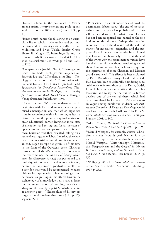7Lyotard alludes to the pessimism in Vienna among artists, literary scholars and philosophers at the turn of the 20<sup>th</sup> century (comp. TPC, p. 41).

<sup>8</sup> James Smith names the following as an exemplary list of scholars who understand postmodernism and Christianity antithetically: Richard Middleton and Brian Walsh, Stanley Grenz, Henry H. Knight III, Brian Ingraffia and the Roman Catholic theologian Frederick Christian Bauerschmidt (see WAP, p. 64 and LSM, p. 124).

9Compare with Joachim Track, "Theologie am Ende – am Ende Theologie? Ein Gespräch mit François Lyotard" ("Theology at its End – Theology at the end of it all? A Conversation with François Lyotard") in: Hans Jürgen Luibl (ed.), *Spurensuche im Grenzland: Postmoderne Theorien und protestantische Theologie*, (trans. *Looking for Tracks in the Borderlands*) Vienna: Passagen Verlag (Passagen Publishing), 1996.

10Lyotard writes: "With the moderns – that is, beginning with Paul and Augustine – the promised emancipation was that which organized time in accordance with a history or, at least, a historicity. For the promise required taking off on an educational journey, leaving an initial state of alienation and setting out for an horizon of openness or freedom and pleasure in what is one's own. Duration was then oriented, taking on a sense of waiting and of labor. It marked the whole enterprise as a trial or ordeal, and it announced an end. Pagan Europe had given itself this time in the form of the Odyssean cycle. Christian Europe put off the dénoument, the moment of the return home. The sanctity of *having undergone this dénoument* (a state) was postponed to a final day, still to come. The dénoument (an act) became the daily bread of goodwill – the effort of a sacrifice that would be recompensed. Modern philosophy, speculative phenomenology, and hermeneutics graft upon this ethical tension the eschatology of a knowledge that is also a desire for the emancipation of meaning, one that is always on the way (BJC, p. 6). Similarly he writes at another point: "'Philosophies of history are forged around a redemptive future (TD, p. 155, segment 221).

<sup>11</sup> Peter Zima writes: "Whoever has followed the postmodern debates about 'the end of metanarratives' over the years has probably asked himself in bewilderment for what reason Camus has not been recognised and named as the sole initiator of this dispute. Perhaps the restraint is connected with the demands of the cultural market for innovation, originality and the surprise effect. How can it otherwise be explained that Lyotard cumbersomely tells us at the end of the 1970s why the grand metanarratives have lost their credibility, without mentioning a word about Camus' radical Nietzschean critique of the legitimation of these Christian and Marxist grand narratives? This silence is best explained by Pierre Bourdieus' theory of cultural capital: Had Lyotard been so culturally blundering as to assiduously refer to authors such as Kuhn, Gödel, Frege, Lehmann or even to critical theory in his foreward, and to say that he wanted to further develop one of the central theses which had been formulated by Camus in 1951 and was so en vogue among pupils and students, *The Postmodern Condition: A Report on Knowledge* would not have fallen on such fertile soil." In Peter V. Zima, *Moderne/Postmoderne*, 2th ed., Tübingen: Francke, 2001, p. 140.

12Albert Camus, *The Rebel: An Essay on Man in Revolt*, New York: Alfred A. Kopf ,1991, p. 189.

<sup>13</sup> Merold Westphal, for example, writes: "Christianity is not Lyotards goal. Neither is it by nature this type of narrative that he criticizes." Merold Westphal, "Onto-theology, Metanarrative, Perspectivism, and the Gospel" in: Myron B. Penner, *Christianity and the Postmodern Turn: Six Views*, Grand Rapids, Mi: Brazon, 2005, p. 150.

14Wolfgang Welsch, *Unsere Moderne Postmoderne,* 5th ed., Berlin: Akademie Publishing, 1997, p. 232.